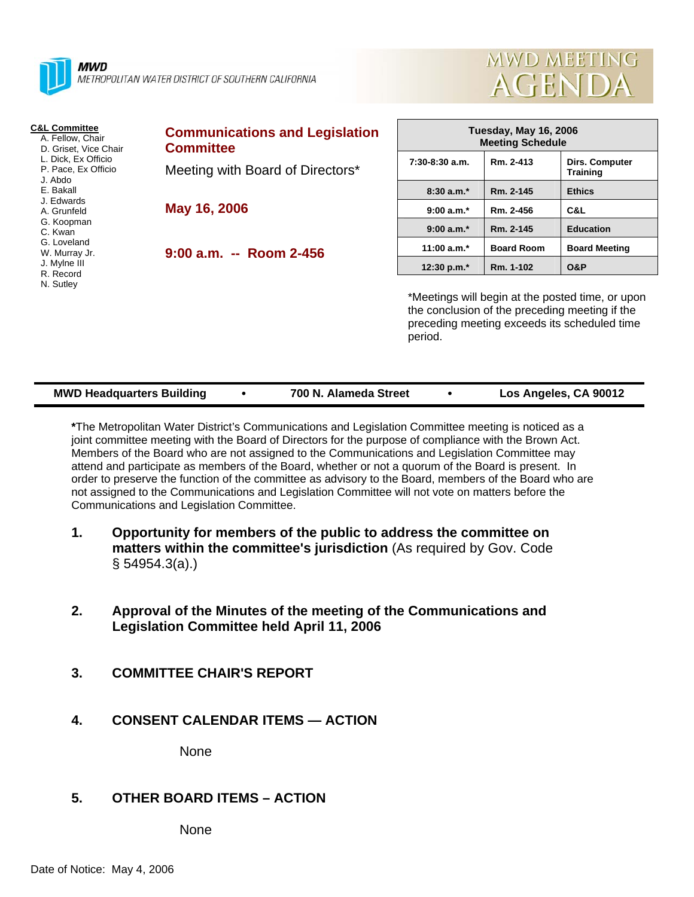

**MWD** METROPOLITAN WATER DISTRICT OF SOUTHERN CALIFORNIA



| <b>C&amp;L Committee</b><br>A. Fellow, Chair<br>D. Griset, Vice Chair<br>L. Dick, Ex Officio<br>P. Pace, Ex Officio<br>J. Abdo | <b>Communications and Legislation</b><br><b>Committee</b> |                  | <b>Tuesday, May 16, 2006</b><br><b>Meeting Schedule</b> |                                                                                                                                                  |  |
|--------------------------------------------------------------------------------------------------------------------------------|-----------------------------------------------------------|------------------|---------------------------------------------------------|--------------------------------------------------------------------------------------------------------------------------------------------------|--|
|                                                                                                                                | Meeting with Board of Directors*                          | $7:30-8:30$ a.m. | Rm. 2-413                                               | <b>Dirs. Computer</b><br><b>Training</b>                                                                                                         |  |
| E. Bakall                                                                                                                      |                                                           | $8:30a.m.*$      | Rm. 2-145                                               | <b>Ethics</b>                                                                                                                                    |  |
| J. Edwards<br>A. Grunfeld                                                                                                      | May 16, 2006                                              | $9:00 a.m.*$     | Rm. 2-456                                               | C&L                                                                                                                                              |  |
| G. Koopman<br>C. Kwan                                                                                                          |                                                           | $9:00 a.m.*$     | Rm. 2-145                                               | <b>Education</b>                                                                                                                                 |  |
| G. Loveland<br>W. Murray Jr.<br>J. Mylne III<br>R. Record                                                                      | 9:00 a.m. -- Room 2-456                                   | 11:00 $a.m.*$    | <b>Board Room</b>                                       | <b>Board Meeting</b>                                                                                                                             |  |
|                                                                                                                                |                                                           | 12:30 p.m.*      | Rm. 1-102                                               | <b>O&amp;P</b>                                                                                                                                   |  |
| N. Sutley                                                                                                                      |                                                           |                  |                                                         | *Meetings will begin at the posted time, or up<br>the conclusion of the preceding meeting if the<br>procoding mooting expoods its schoduled time |  |

at the posted time, or upon e preceding meeting if the preceding meeting exceeds its scheduled time period.

| <b>MWD Headquarters Building</b><br>700 N. Alameda Street | Los Angeles, CA 90012 |
|-----------------------------------------------------------|-----------------------|
|-----------------------------------------------------------|-----------------------|

**\***The Metropolitan Water District's Communications and Legislation Committee meeting is noticed as a joint committee meeting with the Board of Directors for the purpose of compliance with the Brown Act. Members of the Board who are not assigned to the Communications and Legislation Committee may attend and participate as members of the Board, whether or not a quorum of the Board is present. In order to preserve the function of the committee as advisory to the Board, members of the Board who are not assigned to the Communications and Legislation Committee will not vote on matters before the Communications and Legislation Committee.

- **1. Opportunity for members of the public to address the committee on matters within the committee's jurisdiction** (As required by Gov. Code § 54954.3(a).)
- **2. Approval of the Minutes of the meeting of the Communications and Legislation Committee held April 11, 2006**
- **3. COMMITTEE CHAIR'S REPORT**
- **4. CONSENT CALENDAR ITEMS ACTION**

None

# **5. OTHER BOARD ITEMS – ACTION**

None